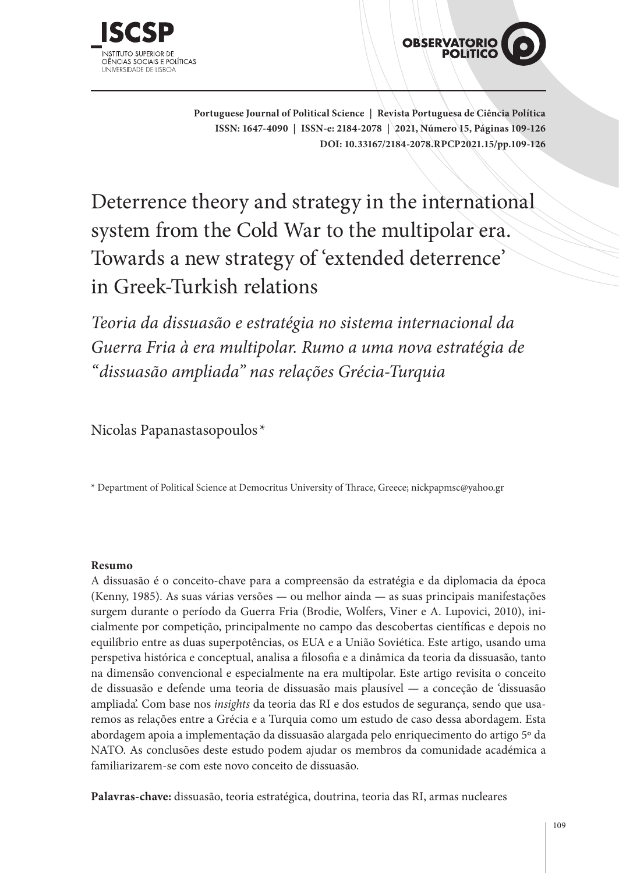



**Portuguese Journal of Political Science | Revista Portuguesa de Ciência Política ISSN: 1647-4090 | ISSN-e: 2184-2078 | 2021, Número 15, Páginas 109-126 DOI: 10.33167/2184-2078.RPCP2021.15/pp.109-126**

Deterrence theory and strategy in the international system from the Cold War to the multipolar era. Towards a new strategy of 'extended deterrence' in Greek-Turkish relations

*Teoria da dissuasão e estratégia no sistema internacional da Guerra Fria à era multipolar. Rumo a uma nova estratégia de "dissuasão ampliada" nas relações Grécia-Turquia*

Nicolas Papanastasopoulos \*

\* Department of Political Science at Democritus University of Thrace, Greece; nickpapmsc@yahoo.gr

### **Resumo**

A dissuasão é o conceito-chave para a compreensão da estratégia e da diplomacia da época (Kenny, 1985). As suas várias versões — ou melhor ainda — as suas principais manifestações surgem durante o período da Guerra Fria (Brodie, Wolfers, Viner e A. Lupovici, 2010), inicialmente por competição, principalmente no campo das descobertas científicas e depois no equilíbrio entre as duas superpotências, os EUA e a União Soviética. Este artigo, usando uma perspetiva histórica e conceptual, analisa a filosofia e a dinâmica da teoria da dissuasão, tanto na dimensão convencional e especialmente na era multipolar. Este artigo revisita o conceito de dissuasão e defende uma teoria de dissuasão mais plausível — a conceção de 'dissuasão ampliada'. Com base nos *insights* da teoria das RI e dos estudos de segurança, sendo que usaremos as relações entre a Grécia e a Turquia como um estudo de caso dessa abordagem. Esta abordagem apoia a implementação da dissuasão alargada pelo enriquecimento do artigo 5º da NATO. As conclusões deste estudo podem ajudar os membros da comunidade académica a familiarizarem-se com este novo conceito de dissuasão.

**Palavras-chave:** dissuasão, teoria estratégica, doutrina, teoria das RI, armas nucleares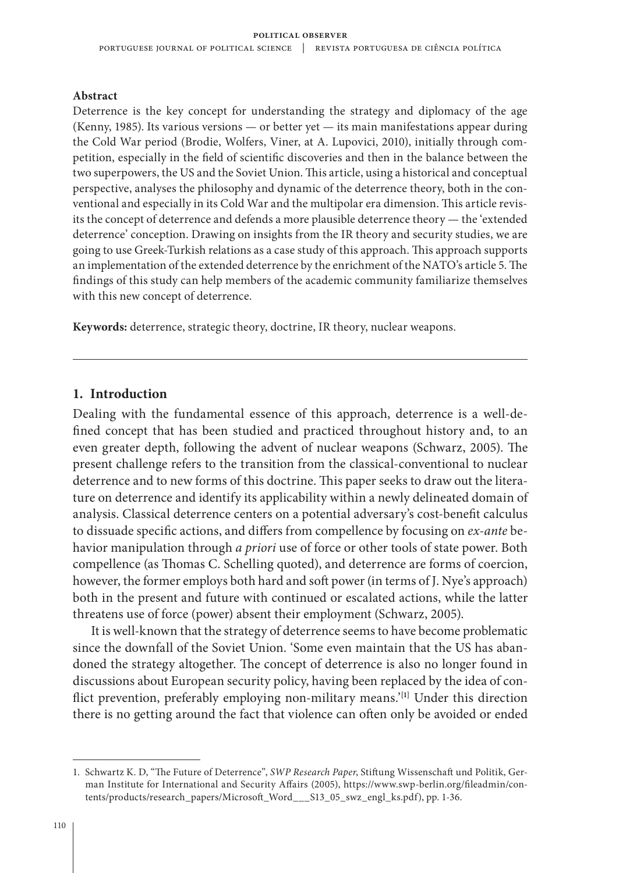#### **Abstract**

Deterrence is the key concept for understanding the strategy and diplomacy of the age (Kenny, 1985). Its various versions — or better yet — its main manifestations appear during the Cold War period (Brodie, Wolfers, Viner, at A. Lupovici, 2010), initially through competition, especially in the field of scientific discoveries and then in the balance between the two superpowers, the US and the Soviet Union. This article, using a historical and conceptual perspective, analyses the philosophy and dynamic of the deterrence theory, both in the conventional and especially in its Cold War and the multipolar era dimension. This article revisits the concept of deterrence and defends a more plausible deterrence theory — the 'extended deterrence' conception. Drawing on insights from the IR theory and security studies, we are going to use Greek-Turkish relations as a case study of this approach. This approach supports an implementation of the extended deterrence by the enrichment of the NATO's article 5. The findings of this study can help members of the academic community familiarize themselves with this new concept of deterrence.

**Keywords:** deterrence, strategic theory, doctrine, IR theory, nuclear weapons.

### **1. Introduction**

Dealing with the fundamental essence of this approach, deterrence is a well-defined concept that has been studied and practiced throughout history and, to an even greater depth, following the advent of nuclear weapons (Schwarz, 2005). The present challenge refers to the transition from the classical-conventional to nuclear deterrence and to new forms of this doctrine. This paper seeks to draw out the literature on deterrence and identify its applicability within a newly delineated domain of analysis. Classical deterrence centers on a potential adversary's cost-benefit calculus to dissuade specific actions, and differs from compellence by focusing on *ex-ante* behavior manipulation through *a priori* use of force or other tools of state power. Both compellence (as Thomas C. Schelling quoted), and deterrence are forms of coercion, however, the former employs both hard and soft power (in terms of J. Nye's approach) both in the present and future with continued or escalated actions, while the latter threatens use of force (power) absent their employment (Schwarz, 2005).

It is well-known that the strategy of deterrence seems to have become problematic since the downfall of the Soviet Union. 'Some even maintain that the US has abandoned the strategy altogether. The concept of deterrence is also no longer found in discussions about European security policy, having been replaced by the idea of conflict prevention, preferably employing non-military means.'**[1]** Under this direction there is no getting around the fact that violence can often only be avoided or ended

<sup>1.</sup> Schwartz K. D, "The Future of Deterrence", *SWP Research Paper*, Stiftung Wissenschaft und Politik, German Institute for International and Security Affairs (2005), https://www.swp-berlin.org/fileadmin/contents/products/research\_papers/Microsoft\_Word\_\_\_S13\_05\_swz\_engl\_ks.pdf), pp. 1-36.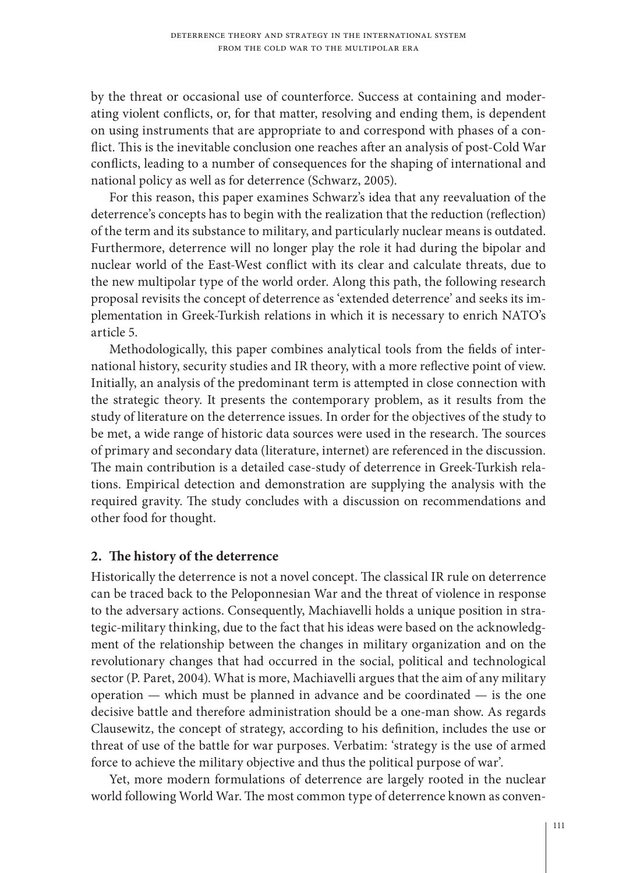by the threat or occasional use of counterforce. Success at containing and moderating violent conflicts, or, for that matter, resolving and ending them, is dependent on using instruments that are appropriate to and correspond with phases of a conflict. This is the inevitable conclusion one reaches after an analysis of post-Cold War conflicts, leading to a number of consequences for the shaping of international and national policy as well as for deterrence (Schwarz, 2005).

For this reason, this paper examines Schwarz's idea that any reevaluation of the deterrence's concepts has to begin with the realization that the reduction (reflection) of the term and its substance to military, and particularly nuclear means is outdated. Furthermore, deterrence will no longer play the role it had during the bipolar and nuclear world of the East-West conflict with its clear and calculate threats, due to the new multipolar type of the world order. Along this path, the following research proposal revisits the concept of deterrence as 'extended deterrence' and seeks its implementation in Greek-Turkish relations in which it is necessary to enrich NATO's article 5.

Methodologically, this paper combines analytical tools from the fields of international history, security studies and IR theory, with a more reflective point of view. Initially, an analysis of the predominant term is attempted in close connection with the strategic theory. It presents the contemporary problem, as it results from the study of literature on the deterrence issues. In order for the objectives of the study to be met, a wide range of historic data sources were used in the research. The sources of primary and secondary data (literature, internet) are referenced in the discussion. The main contribution is a detailed case-study of deterrence in Greek-Turkish relations. Empirical detection and demonstration are supplying the analysis with the required gravity. The study concludes with a discussion on recommendations and other food for thought.

# **2. The history of the deterrence**

Historically the deterrence is not a novel concept. The classical IR rule on deterrence can be traced back to the Peloponnesian War and the threat of violence in response to the adversary actions. Consequently, Machiavelli holds a unique position in strategic-military thinking, due to the fact that his ideas were based on the acknowledgment of the relationship between the changes in military organization and on the revolutionary changes that had occurred in the social, political and technological sector (P. Paret, 2004). What is more, Machiavelli argues that the aim of any military operation — which must be planned in advance and be coordinated — is the one decisive battle and therefore administration should be a one-man show. As regards Clausewitz, the concept of strategy, according to his definition, includes the use or threat of use of the battle for war purposes. Verbatim: 'strategy is the use of armed force to achieve the military objective and thus the political purpose of war'.

Yet, more modern formulations of deterrence are largely rooted in the nuclear world following World War. The most common type of deterrence known as conven-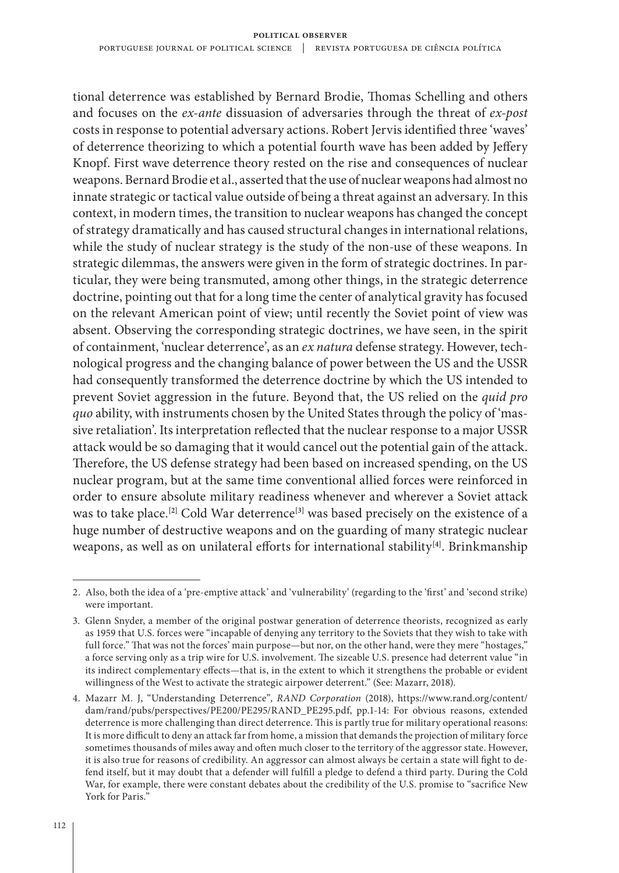tional deterrence was established by Bernard Brodie, Thomas Schelling and others and focuses on the *ex-ante* dissuasion of adversaries through the threat of *ex-post* costs in response to potential adversary actions. Robert Jervis identified three 'waves' of deterrence theorizing to which a potential fourth wave has been added by Jeffery Knopf. First wave deterrence theory rested on the rise and consequences of nuclear weapons. Bernard Brodie et al., asserted that the use of nuclear weapons had almost no innate strategic or tactical value outside of being a threat against an adversary. In this context, in modern times, the transition to nuclear weapons has changed the concept of strategy dramatically and has caused structural changes in international relations, while the study of nuclear strategy is the study of the non-use of these weapons. In strategic dilemmas, the answers were given in the form of strategic doctrines. In particular, they were being transmuted, among other things, in the strategic deterrence doctrine, pointing out that for a long time the center of analytical gravity has focused on the relevant American point of view; until recently the Soviet point of view was absent. Observing the corresponding strategic doctrines, we have seen, in the spirit of containment, 'nuclear deterrence', as an *ex natura* defense strategy. However, technological progress and the changing balance of power between the US and the USSR had consequently transformed the deterrence doctrine by which the US intended to prevent Soviet aggression in the future. Beyond that, the US relied on the *quid pro quo* ability, with instruments chosen by the United States through the policy of 'massive retaliation'. Its interpretation reflected that the nuclear response to a major USSR attack would be so damaging that it would cancel out the potential gain of the attack. Therefore, the US defense strategy had been based on increased spending, on the US nuclear program, but at the same time conventional allied forces were reinforced in order to ensure absolute military readiness whenever and wherever a Soviet attack was to take place.**[2]** Cold War deterrence**[3]** was based precisely on the existence of a huge number of destructive weapons and on the guarding of many strategic nuclear weapons, as well as on unilateral efforts for international stability**[4]**. Brinkmanship

<sup>2.</sup> Also, both the idea of a 'pre-emptive attack' and 'vulnerability' (regarding to the 'first' and 'second strike) were important.

<sup>3.</sup> Glenn Snyder, a member of the original postwar generation of deterrence theorists, recognized as early as 1959 that U.S. forces were "incapable of denying any territory to the Soviets that they wish to take with full force." That was not the forces' main purpose—but nor, on the other hand, were they mere "hostages," a force serving only as a trip wire for U.S. involvement. The sizeable U.S. presence had deterrent value "in its indirect complementary effects—that is, in the extent to which it strengthens the probable or evident willingness of the West to activate the strategic airpower deterrent." (See: Mazarr, 2018).

<sup>4.</sup> Mazarr M. J, "Understanding Deterrence", *RAND Corporation* (2018), https://www.rand.org/content/ dam/rand/pubs/perspectives/PE200/PE295/RAND\_PE295.pdf, pp.1-14: For obvious reasons, extended deterrence is more challenging than direct deterrence. This is partly true for military operational reasons: It is more difficult to deny an attack far from home, a mission that demands the projection of military force sometimes thousands of miles away and often much closer to the territory of the aggressor state. However, it is also true for reasons of credibility. An aggressor can almost always be certain a state will fight to defend itself, but it may doubt that a defender will fulfill a pledge to defend a third party. During the Cold War, for example, there were constant debates about the credibility of the U.S. promise to "sacrifice New York for Paris."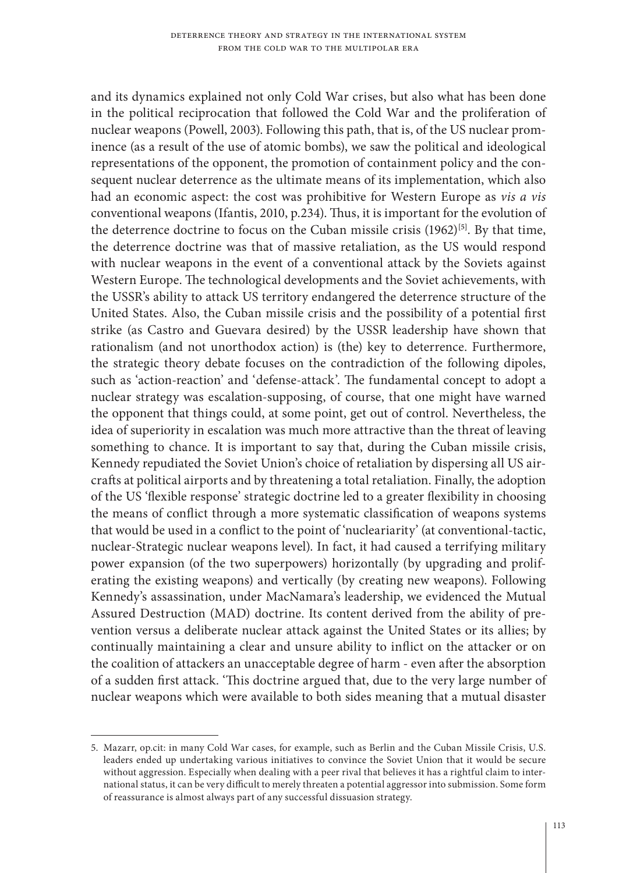and its dynamics explained not only Cold War crises, but also what has been done in the political reciprocation that followed the Cold War and the proliferation of nuclear weapons (Powell, 2003). Following this path, that is, of the US nuclear prominence (as a result of the use of atomic bombs), we saw the political and ideological representations of the opponent, the promotion of containment policy and the consequent nuclear deterrence as the ultimate means of its implementation, which also had an economic aspect: the cost was prohibitive for Western Europe as *vis a vis* conventional weapons (Ifantis, 2010, p.234). Thus, it is important for the evolution of the deterrence doctrine to focus on the Cuban missile crisis (1962)**[5]**. By that time, the deterrence doctrine was that of massive retaliation, as the US would respond with nuclear weapons in the event of a conventional attack by the Soviets against Western Europe. The technological developments and the Soviet achievements, with the USSR's ability to attack US territory endangered the deterrence structure of the United States. Also, the Cuban missile crisis and the possibility of a potential first strike (as Castro and Guevara desired) by the USSR leadership have shown that rationalism (and not unorthodox action) is (the) key to deterrence. Furthermore, the strategic theory debate focuses on the contradiction of the following dipoles, such as 'action-reaction' and 'defense-attack'. The fundamental concept to adopt a nuclear strategy was escalation-supposing, of course, that one might have warned the opponent that things could, at some point, get out of control. Nevertheless, the idea of superiority in escalation was much more attractive than the threat of leaving something to chance. It is important to say that, during the Cuban missile crisis, Kennedy repudiated the Soviet Union's choice of retaliation by dispersing all US aircrafts at political airports and by threatening a total retaliation. Finally, the adoption of the US 'flexible response' strategic doctrine led to a greater flexibility in choosing the means of conflict through a more systematic classification of weapons systems that would be used in a conflict to the point of 'nucleariarity' (at conventional-tactic, nuclear-Strategic nuclear weapons level). In fact, it had caused a terrifying military power expansion (of the two superpowers) horizontally (by upgrading and proliferating the existing weapons) and vertically (by creating new weapons). Following Kennedy's assassination, under MacNamara's leadership, we evidenced the Mutual Assured Destruction (MAD) doctrine. Its content derived from the ability of prevention versus a deliberate nuclear attack against the United States or its allies; by continually maintaining a clear and unsure ability to inflict on the attacker or on the coalition of attackers an unacceptable degree of harm - even after the absorption of a sudden first attack. 'This doctrine argued that, due to the very large number of nuclear weapons which were available to both sides meaning that a mutual disaster

<sup>5.</sup> Mazarr, op.cit: in many Cold War cases, for example, such as Berlin and the Cuban Missile Crisis, U.S. leaders ended up undertaking various initiatives to convince the Soviet Union that it would be secure without aggression. Especially when dealing with a peer rival that believes it has a rightful claim to international status, it can be very difficult to merely threaten a potential aggressor into submission. Some form of reassurance is almost always part of any successful dissuasion strategy.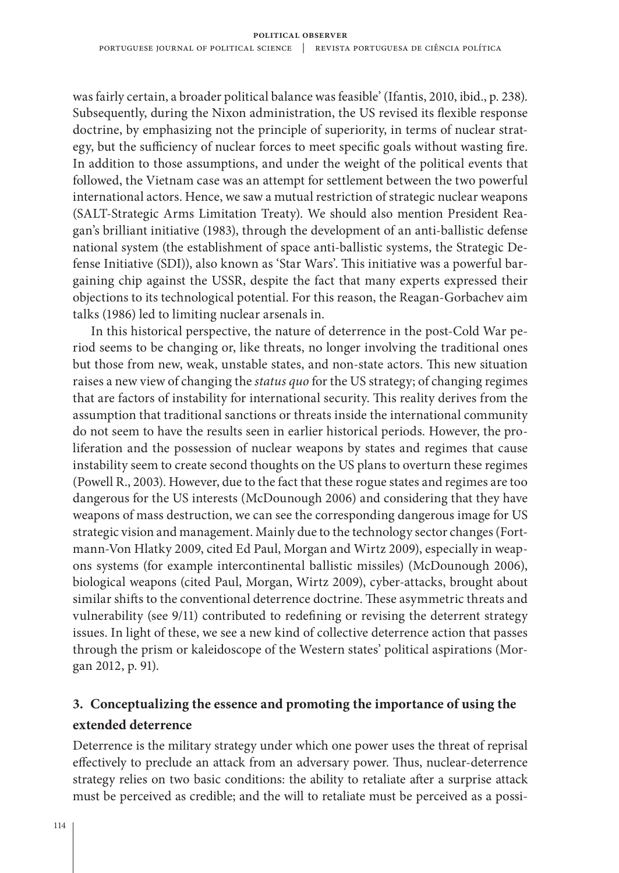was fairly certain, a broader political balance was feasible' (Ifantis, 2010, ibid., p. 238). Subsequently, during the Nixon administration, the US revised its flexible response doctrine, by emphasizing not the principle of superiority, in terms of nuclear strategy, but the sufficiency of nuclear forces to meet specific goals without wasting fire. In addition to those assumptions, and under the weight of the political events that followed, the Vietnam case was an attempt for settlement between the two powerful international actors. Hence, we saw a mutual restriction of strategic nuclear weapons (SALT-Strategic Arms Limitation Treaty). We should also mention President Reagan's brilliant initiative (1983), through the development of an anti-ballistic defense national system (the establishment of space anti-ballistic systems, the Strategic Defense Initiative (SDI)), also known as 'Star Wars'. This initiative was a powerful bargaining chip against the USSR, despite the fact that many experts expressed their objections to its technological potential. For this reason, the Reagan-Gorbachev aim talks (1986) led to limiting nuclear arsenals in.

In this historical perspective, the nature of deterrence in the post-Cold War period seems to be changing or, like threats, no longer involving the traditional ones but those from new, weak, unstable states, and non-state actors. This new situation raises a new view of changing the *status quo* for the US strategy; of changing regimes that are factors of instability for international security. This reality derives from the assumption that traditional sanctions or threats inside the international community do not seem to have the results seen in earlier historical periods. However, the proliferation and the possession of nuclear weapons by states and regimes that cause instability seem to create second thoughts on the US plans to overturn these regimes (Powell R., 2003). However, due to the fact that these rogue states and regimes are too dangerous for the US interests (McDounough 2006) and considering that they have weapons of mass destruction, we can see the corresponding dangerous image for US strategic vision and management. Mainly due to the technology sector changes (Fortmann-Von Hlatky 2009, cited Ed Paul, Morgan and Wirtz 2009), especially in weapons systems (for example intercontinental ballistic missiles) (McDounough 2006), biological weapons (cited Paul, Morgan, Wirtz 2009), cyber-attacks, brought about similar shifts to the conventional deterrence doctrine. These asymmetric threats and vulnerability (see 9/11) contributed to redefining or revising the deterrent strategy issues. In light of these, we see a new kind of collective deterrence action that passes through the prism or kaleidoscope of the Western states' political aspirations (Morgan 2012, p. 91).

# **3. Conceptualizing the essence and promoting the importance of using the extended deterrence**

Deterrence is the military strategy under which one power uses the threat of reprisal effectively to preclude an attack from an adversary power. Thus, nuclear-deterrence strategy relies on two basic conditions: the ability to retaliate after a surprise attack must be perceived as credible; and the will to retaliate must be perceived as a possi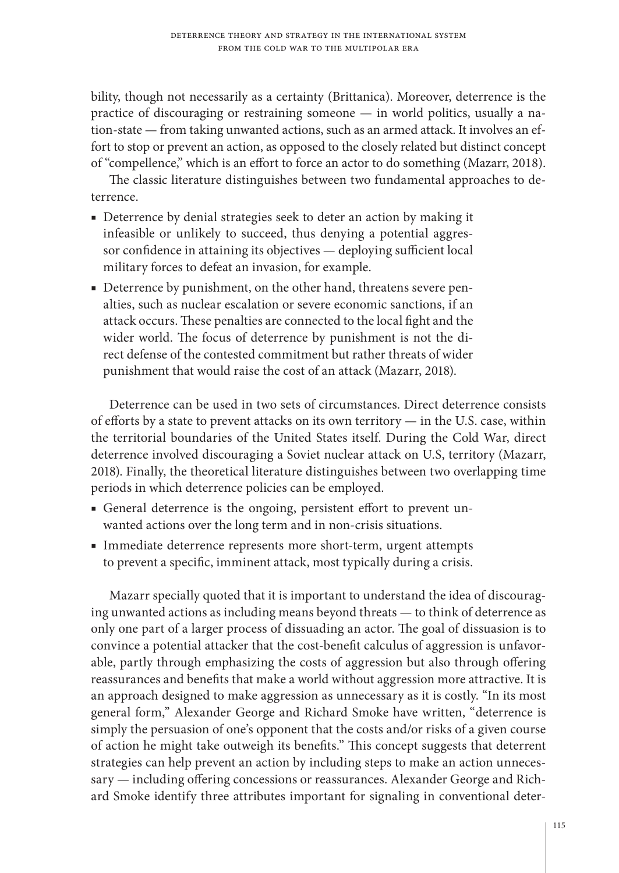bility, though not necessarily as a certainty (Brittanica). Moreover, deterrence is the practice of discouraging or restraining someone — in world politics, usually a nation-state — from taking unwanted actions, such as an armed attack. It involves an effort to stop or prevent an action, as opposed to the closely related but distinct concept of "compellence," which is an effort to force an actor to do something (Mazarr, 2018).

The classic literature distinguishes between two fundamental approaches to deterrence.

- Deterrence by denial strategies seek to deter an action by making it infeasible or unlikely to succeed, thus denying a potential aggressor confidence in attaining its objectives — deploying sufficient local military forces to defeat an invasion, for example.
- Deterrence by punishment, on the other hand, threatens severe penalties, such as nuclear escalation or severe economic sanctions, if an attack occurs. These penalties are connected to the local fight and the wider world. The focus of deterrence by punishment is not the direct defense of the contested commitment but rather threats of wider punishment that would raise the cost of an attack (Mazarr, 2018).

Deterrence can be used in two sets of circumstances. Direct deterrence consists of efforts by a state to prevent attacks on its own territory — in the U.S. case, within the territorial boundaries of the United States itself. During the Cold War, direct deterrence involved discouraging a Soviet nuclear attack on U.S, territory (Mazarr, 2018). Finally, the theoretical literature distinguishes between two overlapping time periods in which deterrence policies can be employed.

- General deterrence is the ongoing, persistent effort to prevent unwanted actions over the long term and in non-crisis situations.
- Immediate deterrence represents more short-term, urgent attempts to prevent a specific, imminent attack, most typically during a crisis.

Mazarr specially quoted that it is important to understand the idea of discouraging unwanted actions as including means beyond threats — to think of deterrence as only one part of a larger process of dissuading an actor. The goal of dissuasion is to convince a potential attacker that the cost-benefit calculus of aggression is unfavorable, partly through emphasizing the costs of aggression but also through offering reassurances and benefits that make a world without aggression more attractive. It is an approach designed to make aggression as unnecessary as it is costly. "In its most general form," Alexander George and Richard Smoke have written, "deterrence is simply the persuasion of one's opponent that the costs and/or risks of a given course of action he might take outweigh its benefits." This concept suggests that deterrent strategies can help prevent an action by including steps to make an action unnecessary — including offering concessions or reassurances. Alexander George and Richard Smoke identify three attributes important for signaling in conventional deter-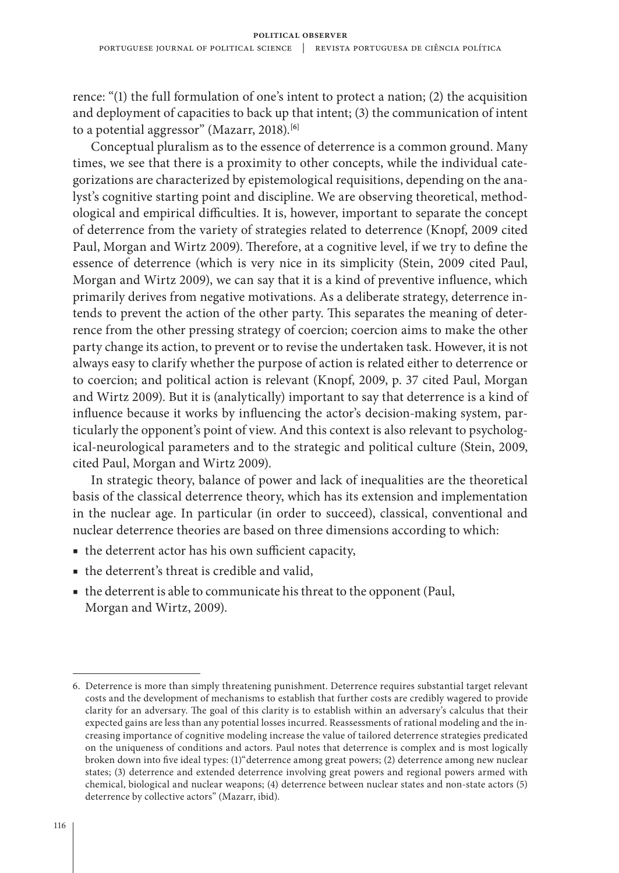rence: "(1) the full formulation of one's intent to protect a nation; (2) the acquisition and deployment of capacities to back up that intent; (3) the communication of intent to a potential aggressor" (Mazarr, 2018).**[6]**

Conceptual pluralism as to the essence of deterrence is a common ground. Many times, we see that there is a proximity to other concepts, while the individual categorizations are characterized by epistemological requisitions, depending on the analyst's cognitive starting point and discipline. We are observing theoretical, methodological and empirical difficulties. It is, however, important to separate the concept of deterrence from the variety of strategies related to deterrence (Knopf, 2009 cited Paul, Morgan and Wirtz 2009). Therefore, at a cognitive level, if we try to define the essence of deterrence (which is very nice in its simplicity (Stein, 2009 cited Paul, Morgan and Wirtz 2009), we can say that it is a kind of preventive influence, which primarily derives from negative motivations. As a deliberate strategy, deterrence intends to prevent the action of the other party. This separates the meaning of deterrence from the other pressing strategy of coercion; coercion aims to make the other party change its action, to prevent or to revise the undertaken task. However, it is not always easy to clarify whether the purpose of action is related either to deterrence or to coercion; and political action is relevant (Knopf, 2009, p. 37 cited Paul, Morgan and Wirtz 2009). But it is (analytically) important to say that deterrence is a kind of influence because it works by influencing the actor's decision-making system, particularly the opponent's point of view. And this context is also relevant to psychological-neurological parameters and to the strategic and political culture (Stein, 2009, cited Paul, Morgan and Wirtz 2009).

In strategic theory, balance of power and lack of inequalities are the theoretical basis of the classical deterrence theory, which has its extension and implementation in the nuclear age. In particular (in order to succeed), classical, conventional and nuclear deterrence theories are based on three dimensions according to which:

- the deterrent actor has his own sufficient capacity,
- the deterrent's threat is credible and valid,
- the deterrent is able to communicate his threat to the opponent (Paul, Morgan and Wirtz, 2009).

<sup>6.</sup> Deterrence is more than simply threatening punishment. Deterrence requires substantial target relevant costs and the development of mechanisms to establish that further costs are credibly wagered to provide clarity for an adversary. The goal of this clarity is to establish within an adversary's calculus that their expected gains are less than any potential losses incurred. Reassessments of rational modeling and the increasing importance of cognitive modeling increase the value of tailored deterrence strategies predicated on the uniqueness of conditions and actors. Paul notes that deterrence is complex and is most logically broken down into five ideal types: (1)"deterrence among great powers; (2) deterrence among new nuclear states; (3) deterrence and extended deterrence involving great powers and regional powers armed with chemical, biological and nuclear weapons; (4) deterrence between nuclear states and non-state actors (5) deterrence by collective actors" (Mazarr, ibid).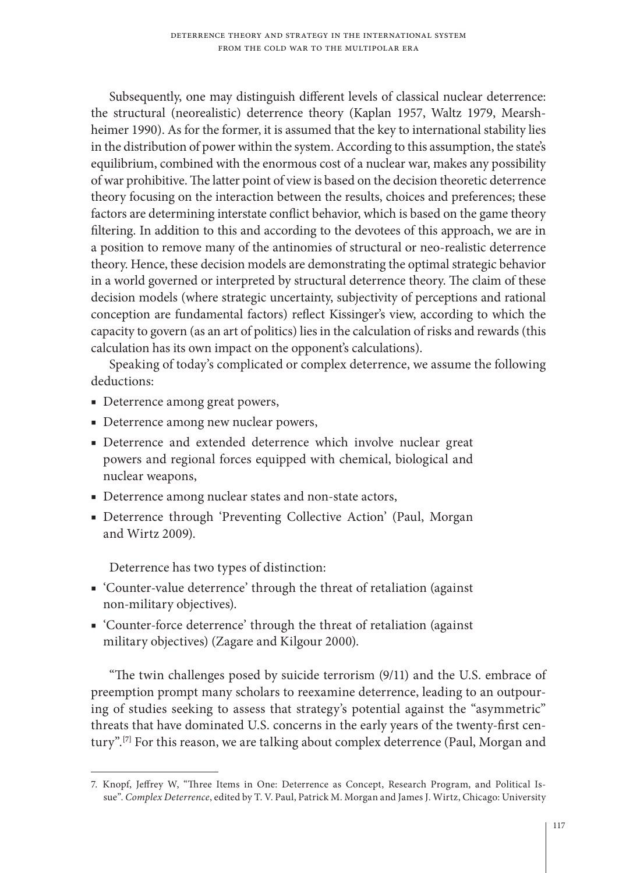Subsequently, one may distinguish different levels of classical nuclear deterrence: the structural (neorealistic) deterrence theory (Kaplan 1957, Waltz 1979, Mearshheimer 1990). As for the former, it is assumed that the key to international stability lies in the distribution of power within the system. According to this assumption, the state's equilibrium, combined with the enormous cost of a nuclear war, makes any possibility of war prohibitive. The latter point of view is based on the decision theoretic deterrence theory focusing on the interaction between the results, choices and preferences; these factors are determining interstate conflict behavior, which is based on the game theory filtering. In addition to this and according to the devotees of this approach, we are in a position to remove many of the antinomies of structural or neo-realistic deterrence theory. Hence, these decision models are demonstrating the optimal strategic behavior in a world governed or interpreted by structural deterrence theory. The claim of these decision models (where strategic uncertainty, subjectivity of perceptions and rational conception are fundamental factors) reflect Kissinger's view, according to which the capacity to govern (as an art of politics) lies in the calculation of risks and rewards (this calculation has its own impact on the opponent's calculations).

Speaking of today's complicated or complex deterrence, we assume the following deductions:

- Deterrence among great powers,
- Deterrence among new nuclear powers,
- Deterrence and extended deterrence which involve nuclear great powers and regional forces equipped with chemical, biological and nuclear weapons,
- Deterrence among nuclear states and non-state actors,
- Deterrence through 'Preventing Collective Action' (Paul, Morgan and Wirtz 2009).

Deterrence has two types of distinction:

- 'Counter-value deterrence' through the threat of retaliation (against non-military objectives).
- 'Counter-force deterrence' through the threat of retaliation (against military objectives) (Zagare and Kilgour 2000).

"The twin challenges posed by suicide terrorism (9/11) and the U.S. embrace of preemption prompt many scholars to reexamine deterrence, leading to an outpouring of studies seeking to assess that strategy's potential against the "asymmetric" threats that have dominated U.S. concerns in the early years of the twenty-first century".**[7]** For this reason, we are talking about complex deterrence (Paul, Morgan and

<sup>7.</sup> Knopf, Jeffrey W, "Three Items in One: Deterrence as Concept, Research Program, and Political Issue". *Complex Deterrence*, edited by T. V. Paul, Patrick M. Morgan and James J. Wirtz, Chicago: University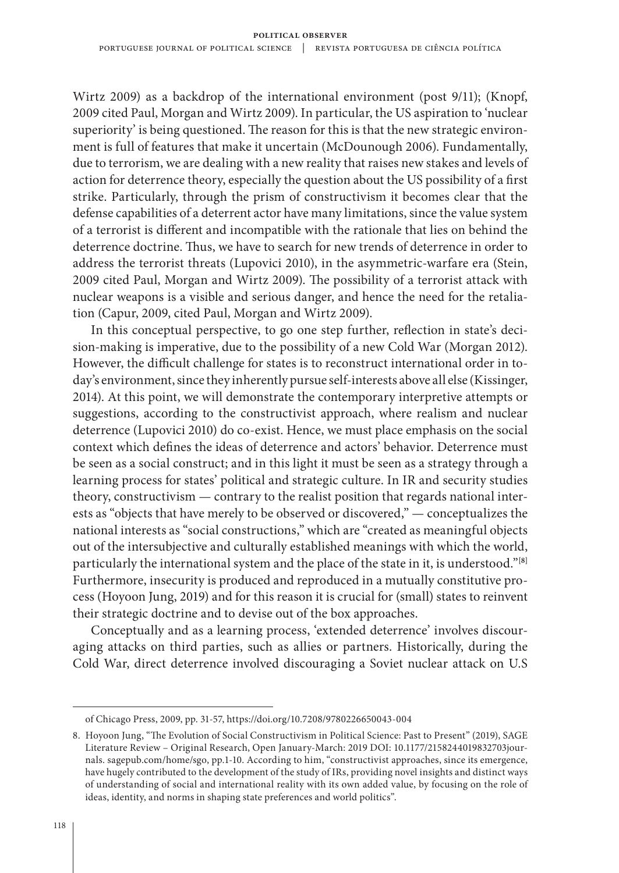Wirtz 2009) as a backdrop of the international environment (post 9/11); (Knopf, 2009 cited Paul, Morgan and Wirtz 2009). In particular, the US aspiration to 'nuclear superiority' is being questioned. The reason for this is that the new strategic environment is full of features that make it uncertain (McDounough 2006). Fundamentally, due to terrorism, we are dealing with a new reality that raises new stakes and levels of action for deterrence theory, especially the question about the US possibility of a first strike. Particularly, through the prism of constructivism it becomes clear that the defense capabilities of a deterrent actor have many limitations, since the value system of a terrorist is different and incompatible with the rationale that lies on behind the deterrence doctrine. Thus, we have to search for new trends of deterrence in order to address the terrorist threats (Lupovici 2010), in the asymmetric-warfare era (Stein, 2009 cited Paul, Morgan and Wirtz 2009). The possibility of a terrorist attack with nuclear weapons is a visible and serious danger, and hence the need for the retaliation (Capur, 2009, cited Paul, Morgan and Wirtz 2009).

In this conceptual perspective, to go one step further, reflection in state's decision-making is imperative, due to the possibility of a new Cold War (Morgan 2012). However, the difficult challenge for states is to reconstruct international order in today's environment, since they inherently pursue self-interests above all else (Kissinger, 2014). At this point, we will demonstrate the contemporary interpretive attempts or suggestions, according to the constructivist approach, where realism and nuclear deterrence (Lupovici 2010) do co-exist. Hence, we must place emphasis on the social context which defines the ideas of deterrence and actors' behavior. Deterrence must be seen as a social construct; and in this light it must be seen as a strategy through a learning process for states' political and strategic culture. In IR and security studies theory, constructivism — contrary to the realist position that regards national interests as "objects that have merely to be observed or discovered," — conceptualizes the national interests as "social constructions," which are "created as meaningful objects out of the intersubjective and culturally established meanings with which the world, particularly the international system and the place of the state in it, is understood."**[8]** Furthermore, insecurity is produced and reproduced in a mutually constitutive process (Hoyoon Jung, 2019) and for this reason it is crucial for (small) states to reinvent their strategic doctrine and to devise out of the box approaches.

Conceptually and as a learning process, 'extended deterrence' involves discouraging attacks on third parties, such as allies or partners. Historically, during the Cold War, direct deterrence involved discouraging a Soviet nuclear attack on U.S

of Chicago Press, 2009, pp. 31-57, https://doi.org/10.7208/9780226650043-004

<sup>8.</sup> Hoyoon Jung, "The Evolution of Social Constructivism in Political Science: Past to Present" (2019), SAGE Literature Review – Original Research, Open January-March: 2019 DOI: 10.1177/2158244019832703journals. sagepub.com/home/sgo, pp.1-10. According to him, "constructivist approaches, since its emergence, have hugely contributed to the development of the study of IRs, providing novel insights and distinct ways of understanding of social and international reality with its own added value, by focusing on the role of ideas, identity, and norms in shaping state preferences and world politics".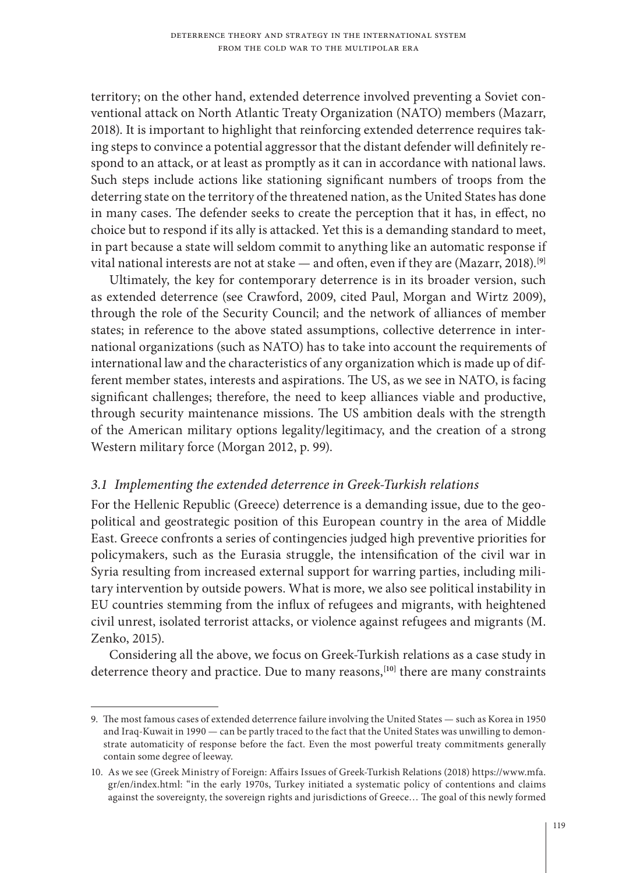territory; on the other hand, extended deterrence involved preventing a Soviet conventional attack on North Atlantic Treaty Organization (NATO) members (Mazarr, 2018). It is important to highlight that reinforcing extended deterrence requires taking steps to convince a potential aggressor that the distant defender will definitely respond to an attack, or at least as promptly as it can in accordance with national laws. Such steps include actions like stationing significant numbers of troops from the deterring state on the territory of the threatened nation, as the United States has done in many cases. The defender seeks to create the perception that it has, in effect, no choice but to respond if its ally is attacked. Yet this is a demanding standard to meet, in part because a state will seldom commit to anything like an automatic response if vital national interests are not at stake — and often, even if they are (Mazarr, 2018).**[9]**

Ultimately, the key for contemporary deterrence is in its broader version, such as extended deterrence (see Crawford, 2009, cited Paul, Morgan and Wirtz 2009), through the role of the Security Council; and the network of alliances of member states; in reference to the above stated assumptions, collective deterrence in international organizations (such as NATO) has to take into account the requirements of international law and the characteristics of any organization which is made up of different member states, interests and aspirations. The US, as we see in NATO, is facing significant challenges; therefore, the need to keep alliances viable and productive, through security maintenance missions. The US ambition deals with the strength of the American military options legality/legitimacy, and the creation of a strong Western military force (Morgan 2012, p. 99).

# *3.1 Implementing the extended deterrence in Greek-Turkish relations*

For the Hellenic Republic (Greece) deterrence is a demanding issue, due to the geopolitical and geostrategic position of this European country in the area of Middle East. Greece confronts a series of contingencies judged high preventive priorities for policymakers, such as the Eurasia struggle, the intensification of the civil war in Syria resulting from increased external support for warring parties, including military intervention by outside powers. What is more, we also see political instability in EU countries stemming from the influx of refugees and migrants, with heightened civil unrest, isolated terrorist attacks, or violence against refugees and migrants (M. Zenko, 2015).

Considering all the above, we focus on Greek-Turkish relations as a case study in deterrence theory and practice. Due to many reasons,**[10]** there are many constraints

<sup>9.</sup> The most famous cases of extended deterrence failure involving the United States — such as Korea in 1950 and Iraq-Kuwait in 1990 — can be partly traced to the fact that the United States was unwilling to demonstrate automaticity of response before the fact. Even the most powerful treaty commitments generally contain some degree of leeway.

<sup>10.</sup> As we see (Greek Ministry of Foreign: Affairs Issues of Greek-Turkish Relations (2018) https://www.mfa. gr/en/index.html: "in the early 1970s, Turkey initiated a systematic policy of contentions and claims against the sovereignty, the sovereign rights and jurisdictions of Greece… The goal of this newly formed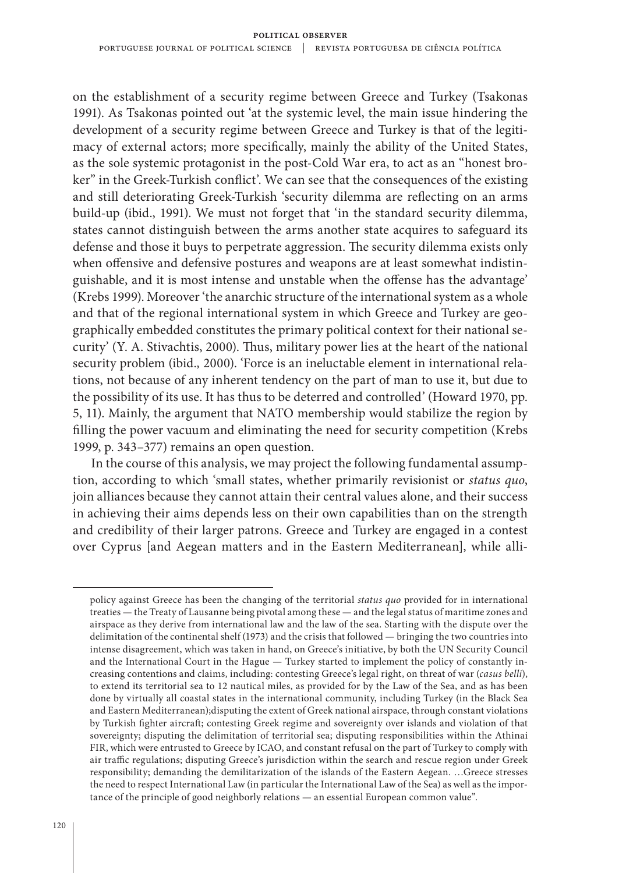on the establishment of a security regime between Greece and Turkey (Tsakonas 1991). As Tsakonas pointed out 'at the systemic level, the main issue hindering the development of a security regime between Greece and Turkey is that of the legitimacy of external actors; more specifically, mainly the ability of the United States, as the sole systemic protagonist in the post-Cold War era, to act as an "honest broker" in the Greek-Turkish conflict'. We can see that the consequences of the existing and still deteriorating Greek-Turkish 'security dilemma are reflecting on an arms build-up (ibid., 1991). We must not forget that 'in the standard security dilemma, states cannot distinguish between the arms another state acquires to safeguard its defense and those it buys to perpetrate aggression. The security dilemma exists only when offensive and defensive postures and weapons are at least somewhat indistinguishable, and it is most intense and unstable when the offense has the advantage' (Krebs 1999). Moreover 'the anarchic structure of the international system as a whole and that of the regional international system in which Greece and Turkey are geographically embedded constitutes the primary political context for their national security' (Y. A. Stivachtis, 2000). Thus, military power lies at the heart of the national security problem (ibid.*,* 2000). 'Force is an ineluctable element in international relations, not because of any inherent tendency on the part of man to use it, but due to the possibility of its use. It has thus to be deterred and controlled' (Howard 1970, pp. 5, 11). Mainly, the argument that NATO membership would stabilize the region by filling the power vacuum and eliminating the need for security competition (Krebs 1999, p. 343–377) remains an open question.

In the course of this analysis, we may project the following fundamental assumption, according to which 'small states, whether primarily revisionist or *status quo*, join alliances because they cannot attain their central values alone, and their success in achieving their aims depends less on their own capabilities than on the strength and credibility of their larger patrons. Greece and Turkey are engaged in a contest over Cyprus [and Aegean matters and in the Eastern Mediterranean], while alli-

policy against Greece has been the changing of the territorial *status quo* provided for in international treaties — the Treaty of Lausanne being pivotal among these — and the legal status of maritime zones and airspace as they derive from international law and the law of the sea. Starting with the dispute over the delimitation of the continental shelf (1973) and the crisis that followed — bringing the two countries into intense disagreement, which was taken in hand, on Greece's initiative, by both the UN Security Council and the International Court in the Hague — Turkey started to implement the policy of constantly increasing contentions and claims, including: contesting Greece's legal right, on threat of war (*casus belli*), to extend its territorial sea to 12 nautical miles, as provided for by the Law of the Sea, and as has been done by virtually all coastal states in the international community, including Turkey (in the Black Sea and Eastern Mediterranean);disputing the extent of Greek national airspace, through constant violations by Turkish fighter aircraft; contesting Greek regime and sovereignty over islands and violation of that sovereignty; disputing the delimitation of territorial sea; disputing responsibilities within the Athinai FIR, which were entrusted to Greece by ICAO, and constant refusal on the part of Turkey to comply with air traffic regulations; disputing Greece's jurisdiction within the search and rescue region under Greek responsibility; demanding the demilitarization of the islands of the Eastern Aegean. …Greece stresses the need to respect International Law (in particular the International Law of the Sea) as well as the importance of the principle of good neighborly relations — an essential European common value".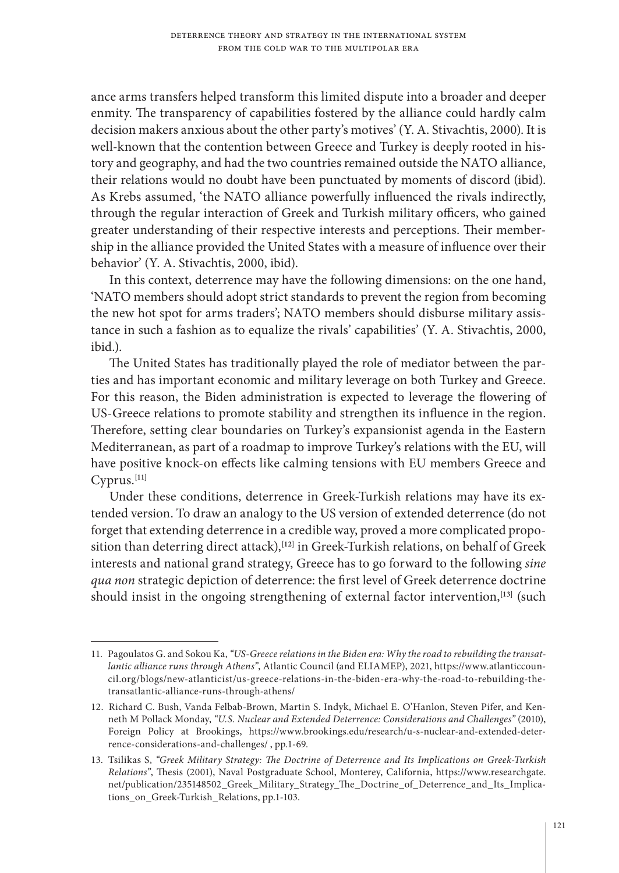ance arms transfers helped transform this limited dispute into a broader and deeper enmity. The transparency of capabilities fostered by the alliance could hardly calm decision makers anxious about the other party's motives' (Y. A. Stivachtis, 2000). It is well-known that the contention between Greece and Turkey is deeply rooted in history and geography, and had the two countries remained outside the NATO alliance, their relations would no doubt have been punctuated by moments of discord (ibid). As Krebs assumed, 'the NATO alliance powerfully influenced the rivals indirectly, through the regular interaction of Greek and Turkish military officers, who gained greater understanding of their respective interests and perceptions. Their membership in the alliance provided the United States with a measure of influence over their behavior' (Y. A. Stivachtis, 2000, ibid).

In this context, deterrence may have the following dimensions: on the one hand, 'NATO members should adopt strict standards to prevent the region from becoming the new hot spot for arms traders'; NATO members should disburse military assistance in such a fashion as to equalize the rivals' capabilities' (Y. A. Stivachtis, 2000, ibid.).

The United States has traditionally played the role of mediator between the parties and has important economic and military leverage on both Turkey and Greece. For this reason, the Biden administration is expected to leverage the flowering of US-Greece relations to promote stability and strengthen its influence in the region. Therefore, setting clear boundaries on Turkey's expansionist agenda in the Eastern Mediterranean, as part of a roadmap to improve Turkey's relations with the EU, will have positive knock-on effects like calming tensions with EU members Greece and Cyprus.**[11]**

Under these conditions, deterrence in Greek-Turkish relations may have its extended version. To draw an analogy to the US version of extended deterrence (do not forget that extending deterrence in a credible way, proved a more complicated proposition than deterring direct attack),**[12]** in Greek-Turkish relations, on behalf of Greek interests and national grand strategy, Greece has to go forward to the following *sine qua non* strategic depiction of deterrence: the first level of Greek deterrence doctrine should insist in the ongoing strengthening of external factor intervention,**[13]** (such

<sup>11.</sup> Pagoulatos G. and Sokou Ka, *"US-Greece relations in the Biden era: Why the road to rebuilding the transatlantic alliance runs through Athens"*, Atlantic Council (and ELIAMEP), 2021, https://www.atlanticcouncil.org/blogs/new-atlanticist/us-greece-relations-in-the-biden-era-why-the-road-to-rebuilding-thetransatlantic-alliance-runs-through-athens/

<sup>12.</sup> Richard C. Bush, Vanda Felbab-Brown, Martin S. Indyk, Michael E. O'Hanlon, Steven Pifer, and Kenneth M Pollack Monday, *"U.S. Nuclear and Extended Deterrence: Considerations and Challenges"* (2010), Foreign Policy at Brookings, https://www.brookings.edu/research/u-s-nuclear-and-extended-deterrence-considerations-and-challenges/ , pp.1-69.

<sup>13.</sup> Tsilikas S, *"Greek Military Strategy: The Doctrine of Deterrence and Its Implications on Greek-Turkish Relations"*, Thesis (2001), Naval Postgraduate School, Monterey, California, https://www.researchgate. net/publication/235148502\_Greek\_Military\_Strategy\_The\_Doctrine\_of\_Deterrence\_and\_Its\_Implications\_on\_Greek-Turkish\_Relations, pp.1-103.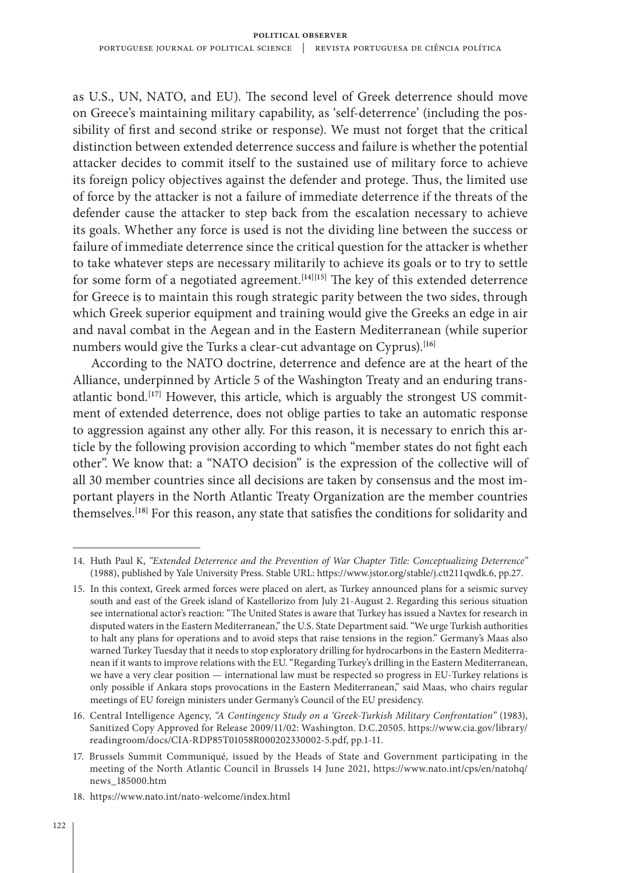as U.S., UN, NATO, and EU). The second level of Greek deterrence should move on Greece's maintaining military capability, as 'self-deterrence' (including the possibility of first and second strike or response). We must not forget that the critical distinction between extended deterrence success and failure is whether the potential attacker decides to commit itself to the sustained use of military force to achieve its foreign policy objectives against the defender and protege. Thus, the limited use of force by the attacker is not a failure of immediate deterrence if the threats of the defender cause the attacker to step back from the escalation necessary to achieve its goals. Whether any force is used is not the dividing line between the success or failure of immediate deterrence since the critical question for the attacker is whether to take whatever steps are necessary militarily to achieve its goals or to try to settle for some form of a negotiated agreement.**[14][15]** The key of this extended deterrence for Greece is to maintain this rough strategic parity between the two sides, through which Greek superior equipment and training would give the Greeks an edge in air and naval combat in the Aegean and in the Eastern Mediterranean (while superior numbers would give the Turks a clear-cut advantage on Cyprus).**[16]**

According to the NATO doctrine, deterrence and defence are at the heart of the Alliance, underpinned by Article 5 of the Washington Treaty and an enduring transatlantic bond.**[17]** However, this article, which is arguably the strongest US commitment of extended deterrence, does not oblige parties to take an automatic response to aggression against any other ally. For this reason, it is necessary to enrich this article by the following provision according to which "member states do not fight each other". We know that: a "NATO decision" is the expression of the collective will of all 30 member countries since all decisions are taken by consensus and the most important players in the North Atlantic Treaty Organization are the member countries themselves.**[18]** For this reason, any state that satisfies the conditions for solidarity and

18. https://www.nato.int/nato-welcome/index.html

<sup>14.</sup> Huth Paul K, *"Extended Deterrence and the Prevention of War Chapter Title: Conceptualizing Deterrence"* (1988), published by Yale University Press. Stable URL: https://www.jstor.org/stable/j.ctt211qwdk.6, pp.27.

<sup>15.</sup> In this context, Greek armed forces were placed on alert, as Turkey announced plans for a seismic survey south and east of the Greek island of Kastellorizo from July 21-August 2. Regarding this serious situation see international actor's reaction: "The United States is aware that Turkey has issued a Navtex for research in disputed waters in the Eastern Mediterranean," the U.S. State Department said. "We urge Turkish authorities to halt any plans for operations and to avoid steps that raise tensions in the region." Germany's Maas also warned Turkey Tuesday that it needs to stop exploratory drilling for hydrocarbons in the Eastern Mediterranean if it wants to improve relations with the EU. "Regarding Turkey's drilling in the Eastern Mediterranean, we have a very clear position — international law must be respected so progress in EU-Turkey relations is only possible if Ankara stops provocations in the Eastern Mediterranean," said Maas, who chairs regular meetings of EU foreign ministers under Germany's Council of the EU presidency.

<sup>16.</sup> Central Intelligence Agency, *"A Contingency Study on a 'Greek-Turkish Military Confrontation"* (1983), Sanitized Copy Approved for Release 2009/11/02: Washington. D.C.20505. https://www.cia.gov/library/ readingroom/docs/CIA-RDP85T01058R000202330002-5.pdf, pp.1-11.

<sup>17.</sup> Brussels Summit Communiqué, issued by the Heads of State and Government participating in the meeting of the North Atlantic Council in Brussels 14 June 2021, https://www.nato.int/cps/en/natohq/ news\_185000.htm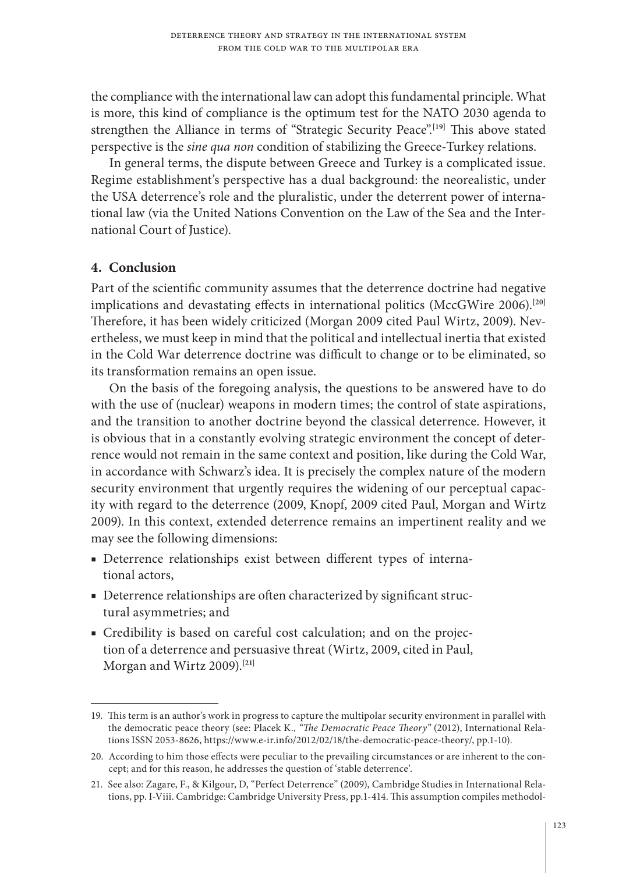the compliance with the international law can adopt this fundamental principle. What is more, this kind of compliance is the optimum test for the NATO 2030 agenda to strengthen the Alliance in terms of "Strategic Security Peace".**[19]** This above stated perspective is the *sine qua non* condition of stabilizing the Greece-Turkey relations.

In general terms, the dispute between Greece and Turkey is a complicated issue. Regime establishment's perspective has a dual background: the neorealistic, under the USA deterrence's role and the pluralistic, under the deterrent power of international law (via the United Nations Convention on the Law of the Sea and the International Court of Justice).

# **4. Conclusion**

Part of the scientific community assumes that the deterrence doctrine had negative implications and devastating effects in international politics (MccGWire 2006).**[20]** Therefore, it has been widely criticized (Morgan 2009 cited Paul Wirtz, 2009). Nevertheless, we must keep in mind that the political and intellectual inertia that existed in the Cold War deterrence doctrine was difficult to change or to be eliminated, so its transformation remains an open issue.

On the basis of the foregoing analysis, the questions to be answered have to do with the use of (nuclear) weapons in modern times; the control of state aspirations, and the transition to another doctrine beyond the classical deterrence. However, it is obvious that in a constantly evolving strategic environment the concept of deterrence would not remain in the same context and position, like during the Cold War, in accordance with Schwarz's idea. It is precisely the complex nature of the modern security environment that urgently requires the widening of our perceptual capacity with regard to the deterrence (2009, Knopf, 2009 cited Paul, Morgan and Wirtz 2009). In this context, extended deterrence remains an impertinent reality and we may see the following dimensions:

- Deterrence relationships exist between different types of international actors,
- Deterrence relationships are often characterized by significant structural asymmetries; and
- Credibility is based on careful cost calculation; and on the projection of a deterrence and persuasive threat (Wirtz, 2009, cited in Paul, Morgan and Wirtz 2009).**[21]**

<sup>19.</sup> This term is an author's work in progress to capture the multipolar security environment in parallel with the democratic peace theory (see: Placek K., *"The Democratic Peace Theory"* (2012), International Relations ISSN 2053-8626, https://www.e-ir.info/2012/02/18/the-democratic-peace-theory/, pp.1-10).

<sup>20.</sup> According to him those effects were peculiar to the prevailing circumstances or are inherent to the concept; and for this reason, he addresses the question of 'stable deterrence'.

<sup>21.</sup> See also: Zagare, F., & Kilgour, D, "Perfect Deterrence" (2009), Cambridge Studies in International Relations, pp. I-Viii. Cambridge: Cambridge University Press, pp.1-414. This assumption compiles methodol-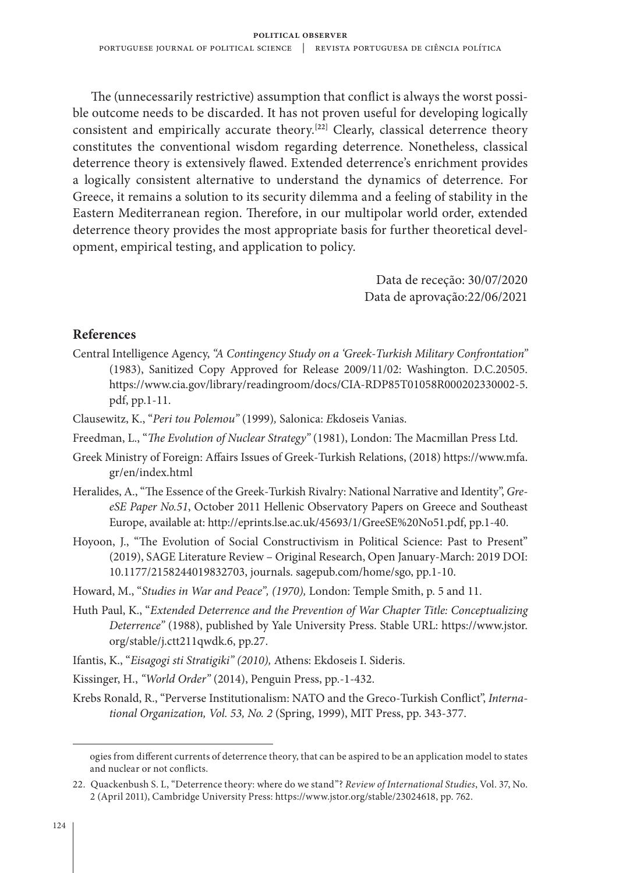The (unnecessarily restrictive) assumption that conflict is always the worst possible outcome needs to be discarded. It has not proven useful for developing logically consistent and empirically accurate theory.<sup>[22]</sup> Clearly, classical deterrence theory constitutes the conventional wisdom regarding deterrence. Nonetheless, classical deterrence theory is extensively flawed. Extended deterrence's enrichment provides a logically consistent alternative to understand the dynamics of deterrence. For Greece, it remains a solution to its security dilemma and a feeling of stability in the Eastern Mediterranean region. Therefore, in our multipolar world order, extended deterrence theory provides the most appropriate basis for further theoretical development, empirical testing, and application to policy.

> Data de receção: 30/07/2020 Data de aprovação:22/06/2021

### **References**

- Central Intelligence Agency, *"A Contingency Study on a 'Greek-Turkish Military Confrontation"* (1983), Sanitized Copy Approved for Release 2009/11/02: Washington. D.C.20505. https://www.cia.gov/library/readingroom/docs/CIA-RDP85T01058R000202330002-5. pdf, pp.1-11.
- Clausewitz, K., "*Peri tou Polemou"* (1999)*,* Salonica: *Ε*kdoseis Vanias.
- Freedman, L., "*The Evolution of Nuclear Strategy"* (1981), London: The Macmillan Press Ltd.
- Greek Ministry of Foreign: Affairs Issues of Greek-Turkish Relations, (2018) https://www.mfa. gr/en/index.html
- Heralides, A., "The Essence of the Greek-Turkish Rivalry: National Narrative and Identity", *GreeSE Paper No.51*, October 2011 Hellenic Observatory Papers on Greece and Southeast Europe, available at: http://eprints.lse.ac.uk/45693/1/GreeSE%20No51.pdf, pp.1-40.
- Hoyoon, J., "The Evolution of Social Constructivism in Political Science: Past to Present" (2019), SAGE Literature Review – Original Research, Open January-March: 2019 DOI: 10.1177/2158244019832703, journals. sagepub.com/home/sgo, pp.1-10.
- Howard, M., "*Studies in War and Peace", (1970),* London: Temple Smith, p. 5 and 11.
- Huth Paul, K., "*Extended Deterrence and the Prevention of War Chapter Title: Conceptualizing Deterrence"* (1988), published by Yale University Press. Stable URL: https://www.jstor. org/stable/j.ctt211qwdk.6, pp.27.
- Ifantis, Κ., "*Eisagogi sti Stratigiki" (2010),* Athens: Εkdoseis Ι. Sideris.
- Kissinger, H., *"World Order"* (2014), Penguin Press, pp.-1-432.
- Krebs Ronald, R., "Perverse Institutionalism: NATO and the Greco-Turkish Conflict", *International Organization, Vol. 53, No. 2* (Spring, 1999), MIT Press, pp. 343-377.

ogies from different currents of deterrence theory, that can be aspired to be an application model to states and nuclear or not conflicts.

<sup>22.</sup> Quackenbush S. L, "Deterrence theory: where do we stand"? *Review of International Studies*, Vol. 37, No. 2 (April 2011), Cambridge University Press: https://www.jstor.org/stable/23024618, pp. 762.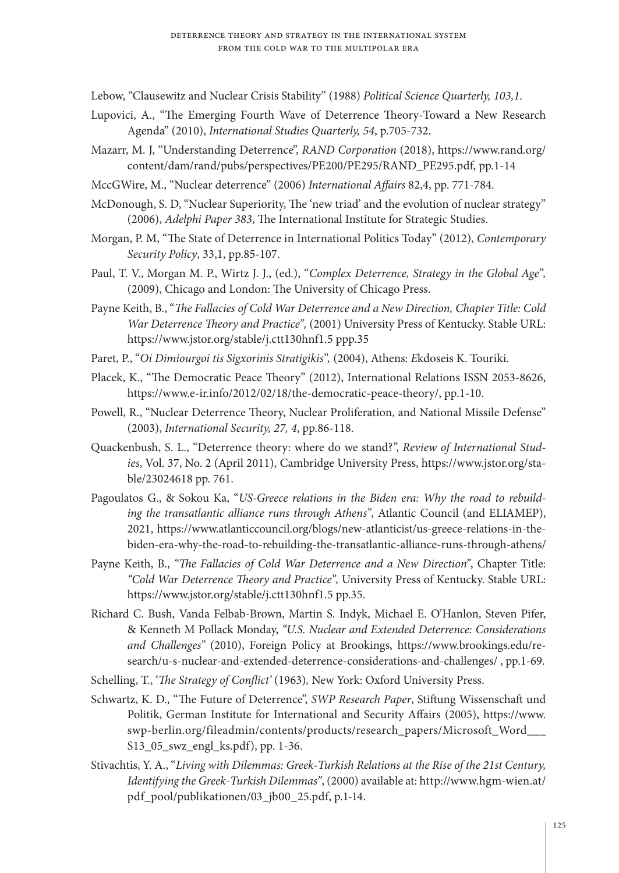Lebow, "Clausewitz and Nuclear Crisis Stability" (1988) *Political Science Quarterly, 103,1*.

- Lupovici, A., "The Emerging Fourth Wave of Deterrence Theory-Toward a New Research Agenda" (2010), *International Studies Quarterly, 54*, p.705-732.
- Mazarr, M. J, "Understanding Deterrence", *RAND Corporation* (2018), https://www.rand.org/ content/dam/rand/pubs/perspectives/PE200/PE295/RAND\_PE295.pdf, pp.1-14
- MccGWire, M., "Nuclear deterrence" (2006) *International Affairs* 82,4, pp. 771-784.
- McDonough, S. D, "Nuclear Superiority, The 'new triad' and the evolution of nuclear strategy" (2006), *Adelphi Paper 383*, The International Institute for Strategic Studies.
- Morgan, P. M, "The State of Deterrence in International Politics Today" (2012), *Contemporary Security Policy*, 33,1, pp.85-107.
- Paul, T. V., Morgan M. P., Wirtz J. J., (ed.), "*Complex Deterrence, Strategy in the Global Age",* (2009), Chicago and London: The University of Chicago Press.
- Payne Keith, B., "*The Fallacies of Cold War Deterrence and a New Direction, Chapter Title: Cold War Deterrence Theory and Practice",* (2001) University Press of Kentucky. Stable URL: https://www.jstor.org/stable/j.ctt130hnf1.5 ppp.35
- Paret, P., "*Oi Dimiourgoi tis Sigxorinis Stratigikis",* (2004), Athens: *Ε*kdoseis K. Touriki.
- Placek, K., "The Democratic Peace Theory" (2012), International Relations ISSN 2053-8626, https://www.e-ir.info/2012/02/18/the-democratic-peace-theory/, pp.1-10.
- Powell, R., "Nuclear Deterrence Theory, Nuclear Proliferation, and National Missile Defense" (2003), *International Security, 27, 4*, pp.86-118.
- Quackenbush, S. L., "Deterrence theory: where do we stand?", *Review of International Studies*, Vol. 37, No. 2 (April 2011), Cambridge University Press, https://www.jstor.org/stable/23024618 pp. 761.
- Pagoulatos G., & Sokou Ka, "*US-Greece relations in the Biden era: Why the road to rebuilding the transatlantic alliance runs through Athens"*, Atlantic Council (and ELIAMEP), 2021, https://www.atlanticcouncil.org/blogs/new-atlanticist/us-greece-relations-in-thebiden-era-why-the-road-to-rebuilding-the-transatlantic-alliance-runs-through-athens/
- Payne Keith, B., *"The Fallacies of Cold War Deterrence and a New Direction"*, Chapter Title: *"Cold War Deterrence Theory and Practice",* University Press of Kentucky. Stable URL: https://www.jstor.org/stable/j.ctt130hnf1.5 pp.35.
- Richard C. Bush, Vanda Felbab-Brown, Martin S. Indyk, Michael E. O'Hanlon, Steven Pifer, & Kenneth M Pollack Monday, *"U.S. Nuclear and Extended Deterrence: Considerations and Challenges"* (2010), Foreign Policy at Brookings, https://www.brookings.edu/research/u-s-nuclear-and-extended-deterrence-considerations-and-challenges/ , pp.1-69.
- Schelling, T., '*The Strategy of Conflict'* (1963)*,* New York: Oxford University Press.
- Schwartz, K. D., "The Future of Deterrence", *SWP Research Paper*, Stiftung Wissenschaft und Politik, German Institute for International and Security Affairs (2005), https://www. swp-berlin.org/fileadmin/contents/products/research\_papers/Microsoft\_Word\_\_\_ S13\_05\_swz\_engl\_ks.pdf), pp. 1-36.
- Stivachtis, Y. A., "*Living with Dilemmas: Greek-Turkish Relations at the Rise of the 21st Century, Identifying the Greek-Turkish Dilemmas"*, (2000) available at: http://www.hgm-wien.at/ pdf\_pool/publikationen/03\_jb00\_25.pdf, p.1-14.